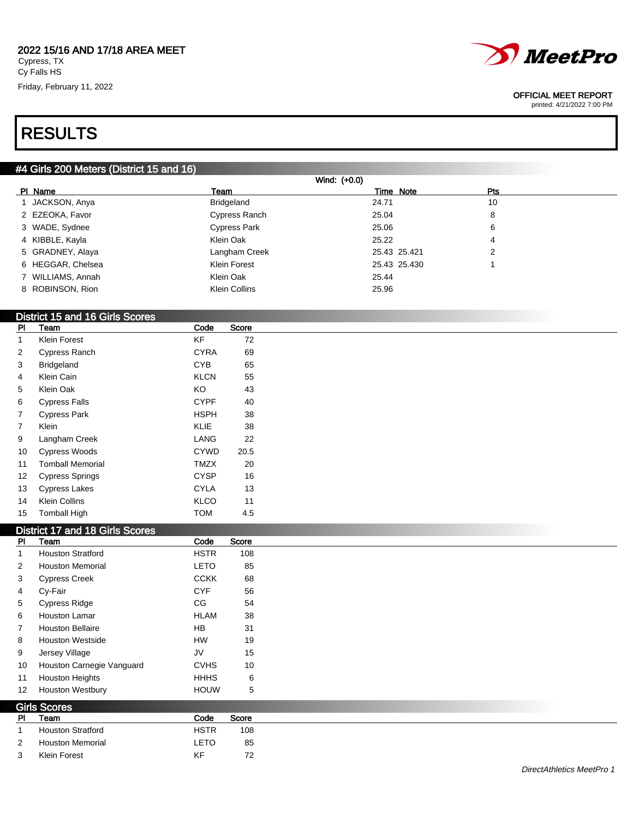

OFFICIAL MEET REPORT

printed: 4/21/2022 7:00 PM

# RESULTS

# #4 Girls 200 Meters (District 15 and 16)

| Wind: (+0.0)      |                     |              |            |  |  |  |
|-------------------|---------------------|--------------|------------|--|--|--|
| PI Name           | Team                | Time Note    | <b>Pts</b> |  |  |  |
| 1 JACKSON, Anya   | Bridgeland          | 24.71        | 10         |  |  |  |
| 2 EZEOKA, Favor   | Cypress Ranch       | 25.04        | 8          |  |  |  |
| 3 WADE, Sydnee    | <b>Cypress Park</b> | 25.06        | 6          |  |  |  |
| 4 KIBBLE, Kayla   | Klein Oak           | 25.22        | 4          |  |  |  |
| 5 GRADNEY, Alaya  | Langham Creek       | 25.43 25.421 | 2          |  |  |  |
| 6 HEGGAR, Chelsea | Klein Forest        | 25.43 25.430 |            |  |  |  |
| 7 WILLIAMS, Annah | Klein Oak           | 25.44        |            |  |  |  |
| 8 ROBINSON, Rion  | Klein Collins       | 25.96        |            |  |  |  |

# District 15 and 16 Girls Scores

| PI | Team                    | Code        | Score |
|----|-------------------------|-------------|-------|
| 1  | Klein Forest            | KF          | 72    |
| 2  | <b>Cypress Ranch</b>    | <b>CYRA</b> | 69    |
| 3  | <b>Bridgeland</b>       | <b>CYB</b>  | 65    |
| 4  | Klein Cain              | <b>KLCN</b> | 55    |
| 5  | Klein Oak               | KO          | 43    |
| 6  | <b>Cypress Falls</b>    | <b>CYPF</b> | 40    |
| 7  | <b>Cypress Park</b>     | <b>HSPH</b> | 38    |
| 7  | Klein                   | <b>KLIE</b> | 38    |
| 9  | Langham Creek           | LANG        | 22    |
| 10 | <b>Cypress Woods</b>    | <b>CYWD</b> | 20.5  |
| 11 | <b>Tomball Memorial</b> | <b>TMZX</b> | 20    |
| 12 | Cypress Springs         | <b>CYSP</b> | 16    |
| 13 | <b>Cypress Lakes</b>    | <b>CYLA</b> | 13    |
| 14 | <b>Klein Collins</b>    | KLCO        | 11    |
| 15 | <b>Tomball High</b>     | <b>TOM</b>  | 4.5   |

## $b_{\text{right}}$  17 and 19 Girls  $\Omega$

|                | DISTRICT TT and TO GINS SCOTES |             |       |
|----------------|--------------------------------|-------------|-------|
| <b>PI</b>      | Team                           | Code        | Score |
|                | <b>Houston Stratford</b>       | <b>HSTR</b> | 108   |
| 2              | <b>Houston Memorial</b>        | <b>LETO</b> | 85    |
| 3              | <b>Cypress Creek</b>           | <b>CCKK</b> | 68    |
| 4              | Cy-Fair                        | <b>CYF</b>  | 56    |
| 5              | Cypress Ridge                  | CG          | 54    |
| 6              | Houston Lamar                  | <b>HLAM</b> | 38    |
| $\overline{7}$ | <b>Houston Bellaire</b>        | <b>HB</b>   | 31    |
| 8              | <b>Houston Westside</b>        | HW          | 19    |
| 9              | Jersey Village                 | JV          | 15    |
| 10             | Houston Carnegie Vanguard      | <b>CVHS</b> | 10    |
| 11             | <b>Houston Heights</b>         | <b>HHHS</b> | 6     |
| 12             | <b>Houston Westbury</b>        | <b>HOUW</b> | 5     |
|                | <b>Girls Scores</b>            |             |       |
| <b>PI</b>      | Team                           | Code        | Score |
|                | <b>Houston Stratford</b>       | <b>HSTR</b> | 108   |
| 2              | <b>Houston Memorial</b>        | <b>LETO</b> | 85    |
| 3              | Klein Forest                   | KF          | 72    |